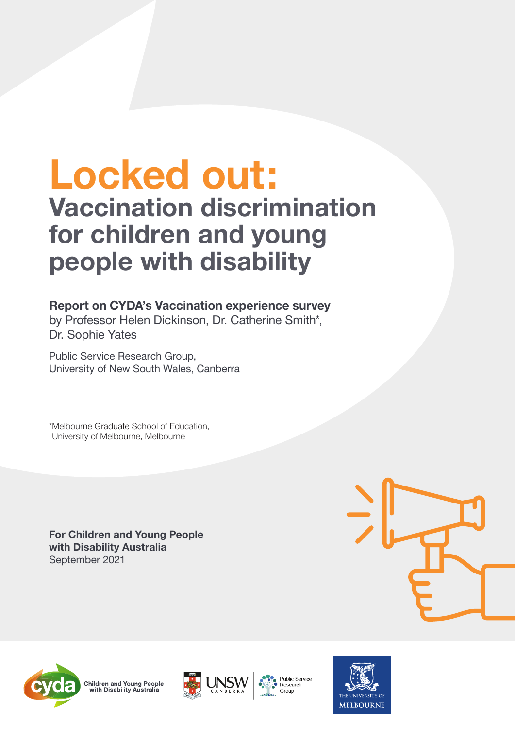### **Locked out: Vaccination discrimination for children and young people with disability**

#### **Report on CYDA's Vaccination experience survey**

by Professor Helen Dickinson, Dr. Catherine Smith\*, Dr. Sophie Yates

Public Service Research Group, University of New South Wales, Canberra

\*Melbourne Graduate School of Education, University of Melbourne, Melbourne

**For Children and Young People with Disability Australia**  September 2021











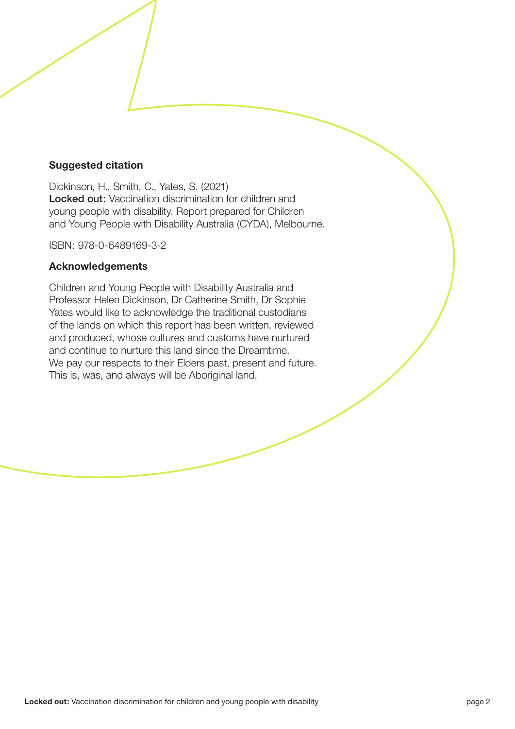#### **Suggested citation**

Dickinson, H., Smith, C., Yates, S. (2021) Locked out: Vaccination discrimination for children and young people with disability. Report prepared for Children and Young People with Disability Australia (CYDA), Melbourne.

ISBN: 978-0-6489169-3-2

#### **Acknowledgements**

Children and Young People with Disability Australia and Professor Helen Dickinson, Dr Catherine Smith, Dr Sophie Yates would like to acknowledge the traditional custodians of the lands on which this report has been written, reviewed and produced, whose cultures and customs have nurtured and continue to nurture this land since the Dreamtime. We pay our respects to their Elders past, present and future. This is, was, and always will be Aboriginal land.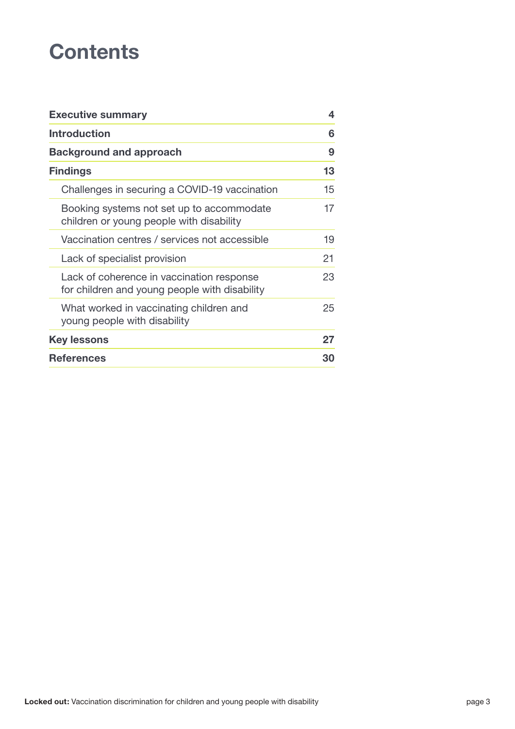### **Contents**

| <b>Executive summary</b>                                                                   | 4  |
|--------------------------------------------------------------------------------------------|----|
| <b>Introduction</b>                                                                        |    |
| <b>Background and approach</b>                                                             | 9  |
| <b>Findings</b>                                                                            | 13 |
| Challenges in securing a COVID-19 vaccination                                              | 15 |
| Booking systems not set up to accommodate<br>children or young people with disability      | 17 |
| Vaccination centres / services not accessible                                              | 19 |
| Lack of specialist provision                                                               | 21 |
| Lack of coherence in vaccination response<br>for children and young people with disability | 23 |
| What worked in vaccinating children and<br>young people with disability                    | 25 |
| <b>Key lessons</b>                                                                         | 27 |
| <b>References</b>                                                                          | 30 |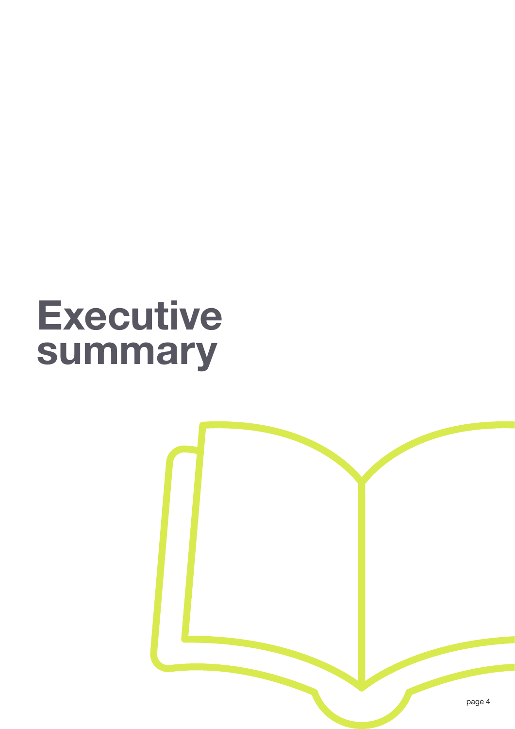## **Executive summary**

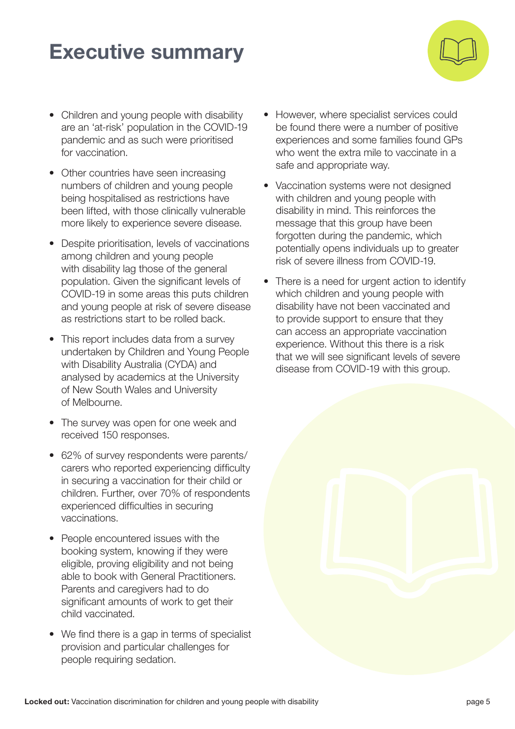### **Executive summary**



- Children and young people with disability are an 'at-risk' population in the COVID-19 pandemic and as such were prioritised for vaccination.
- Other countries have seen increasing numbers of children and young people being hospitalised as restrictions have been lifted, with those clinically vulnerable more likely to experience severe disease.
- Despite prioritisation, levels of vaccinations among children and young people with disability lag those of the general population. Given the significant levels of COVID-19 in some areas this puts children and young people at risk of severe disease as restrictions start to be rolled back.
- This report includes data from a survey undertaken by Children and Young People with Disability Australia (CYDA) and analysed by academics at the University of New South Wales and University of Melbourne.
- The survey was open for one week and received 150 responses.
- 62% of survey respondents were parents/ carers who reported experiencing difficulty in securing a vaccination for their child or children. Further, over 70% of respondents experienced difficulties in securing vaccinations.
- People encountered issues with the booking system, knowing if they were eligible, proving eligibility and not being able to book with General Practitioners. Parents and caregivers had to do significant amounts of work to get their child vaccinated.
- We find there is a gap in terms of specialist provision and particular challenges for people requiring sedation.
- However, where specialist services could be found there were a number of positive experiences and some families found GPs who went the extra mile to vaccinate in a safe and appropriate way.
- Vaccination systems were not designed with children and young people with disability in mind. This reinforces the message that this group have been forgotten during the pandemic, which potentially opens individuals up to greater risk of severe illness from COVID-19.
- There is a need for urgent action to identify which children and young people with disability have not been vaccinated and to provide support to ensure that they can access an appropriate vaccination experience. Without this there is a risk that we will see significant levels of severe disease from COVID-19 with this group.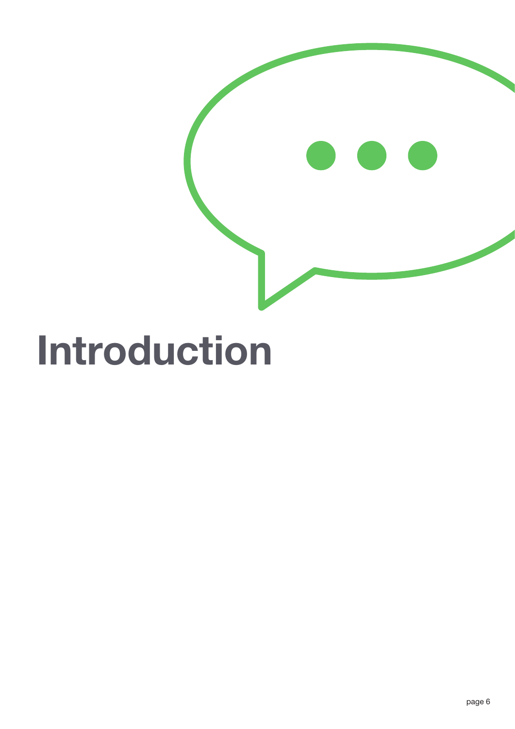

## **Introduction**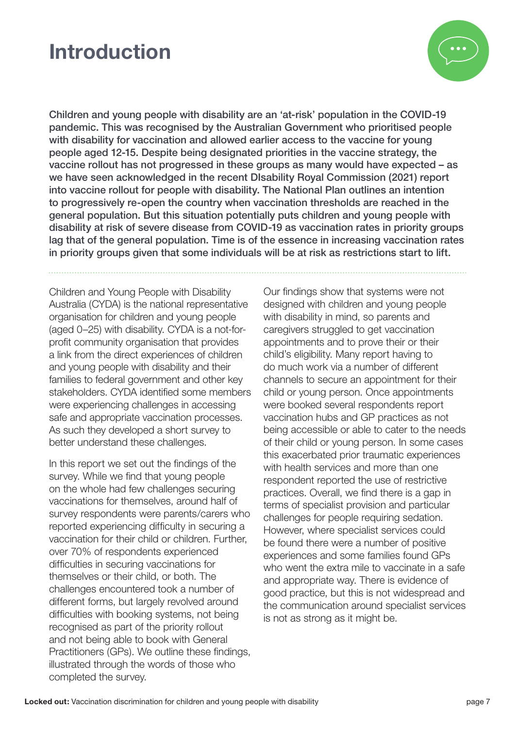### **Introduction**



Children and young people with disability are an 'at-risk' population in the COVID-19 pandemic. This was recognised by the Australian Government who prioritised people with disability for vaccination and allowed earlier access to the vaccine for young people aged 12-15. Despite being designated priorities in the vaccine strategy, the vaccine rollout has not progressed in these groups as many would have expected – as we have seen acknowledged in the recent DIsability Royal Commission (2021) report into vaccine rollout for people with disability. The National Plan outlines an intention to progressively re-open the country when vaccination thresholds are reached in the general population. But this situation potentially puts children and young people with disability at risk of severe disease from COVID-19 as vaccination rates in priority groups lag that of the general population. Time is of the essence in increasing vaccination rates in priority groups given that some individuals will be at risk as restrictions start to lift.

Children and Young People with Disability Australia (CYDA) is the national representative organisation for children and young people (aged 0–25) with disability. CYDA is a not-forprofit community organisation that provides a link from the direct experiences of children and young people with disability and their families to federal government and other key stakeholders. CYDA identified some members were experiencing challenges in accessing safe and appropriate vaccination processes. As such they developed a short survey to better understand these challenges.

In this report we set out the findings of the survey. While we find that young people on the whole had few challenges securing vaccinations for themselves, around half of survey respondents were parents/carers who reported experiencing difficulty in securing a vaccination for their child or children. Further, over 70% of respondents experienced difficulties in securing vaccinations for themselves or their child, or both. The challenges encountered took a number of different forms, but largely revolved around difficulties with booking systems, not being recognised as part of the priority rollout and not being able to book with General Practitioners (GPs). We outline these findings, illustrated through the words of those who completed the survey.

Our findings show that systems were not designed with children and young people with disability in mind, so parents and caregivers struggled to get vaccination appointments and to prove their or their child's eligibility. Many report having to do much work via a number of different channels to secure an appointment for their child or young person. Once appointments were booked several respondents report vaccination hubs and GP practices as not being accessible or able to cater to the needs of their child or young person. In some cases this exacerbated prior traumatic experiences with health services and more than one respondent reported the use of restrictive practices. Overall, we find there is a gap in terms of specialist provision and particular challenges for people requiring sedation. However, where specialist services could be found there were a number of positive experiences and some families found GPs who went the extra mile to vaccinate in a safe and appropriate way. There is evidence of good practice, but this is not widespread and the communication around specialist services is not as strong as it might be.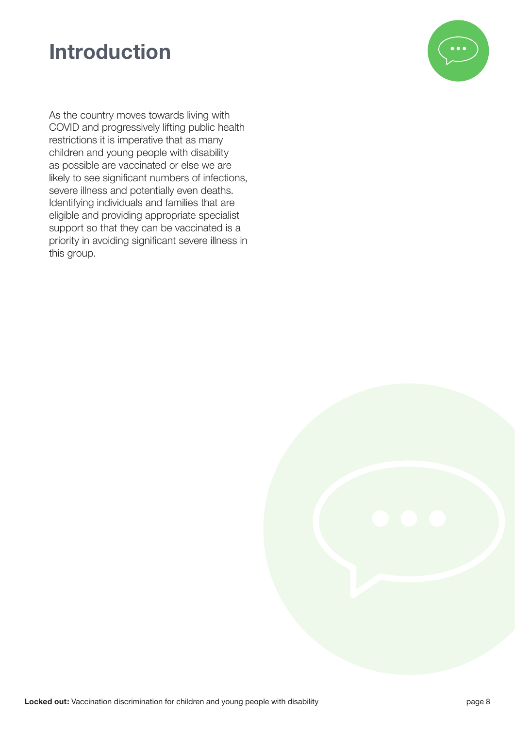### **Introduction**



As the country moves towards living with COVID and progressively lifting public health restrictions it is imperative that as many children and young people with disability as possible are vaccinated or else we are likely to see significant numbers of infections, severe illness and potentially even deaths. Identifying individuals and families that are eligible and providing appropriate specialist support so that they can be vaccinated is a priority in avoiding significant severe illness in this group.

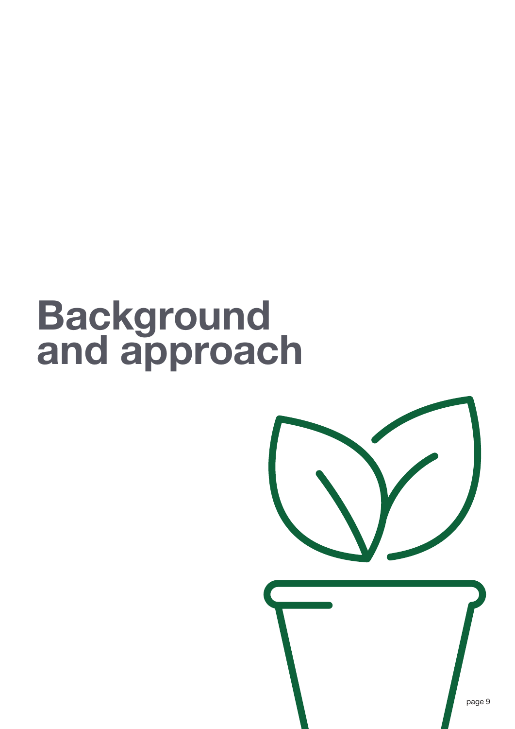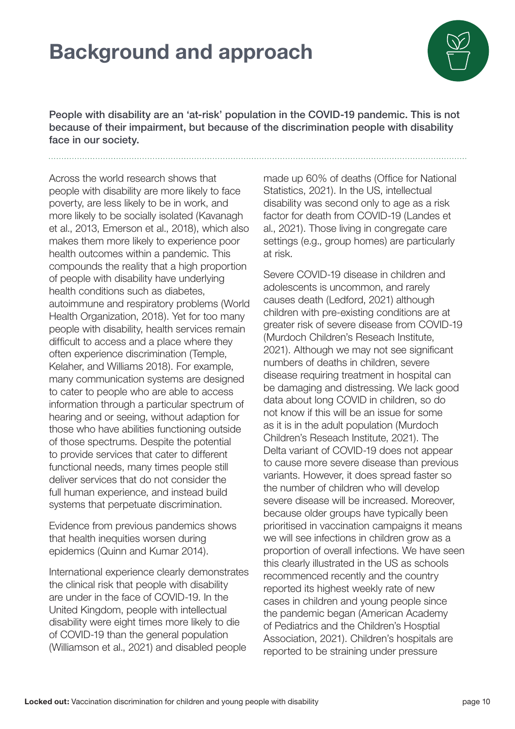

People with disability are an 'at-risk' population in the COVID-19 pandemic. This is not because of their impairment, but because of the discrimination people with disability face in our society.

Across the world research shows that people with disability are more likely to face poverty, are less likely to be in work, and more likely to be socially isolated (Kavanagh et al., 2013, Emerson et al., 2018), which also makes them more likely to experience poor health outcomes within a pandemic. This compounds the reality that a high proportion of people with disability have underlying health conditions such as diabetes, autoimmune and respiratory problems (World Health Organization, 2018). Yet for too many people with disability, health services remain difficult to access and a place where they often experience discrimination (Temple, Kelaher, and Williams 2018). For example, many communication systems are designed to cater to people who are able to access information through a particular spectrum of hearing and or seeing, without adaption for those who have abilities functioning outside of those spectrums. Despite the potential to provide services that cater to different functional needs, many times people still deliver services that do not consider the full human experience, and instead build systems that perpetuate discrimination.

Evidence from previous pandemics shows that health inequities worsen during epidemics (Quinn and Kumar 2014).

International experience clearly demonstrates the clinical risk that people with disability are under in the face of COVID-19. In the United Kingdom, people with intellectual disability were eight times more likely to die of COVID-19 than the general population (Williamson et al., 2021) and disabled people

made up 60% of deaths (Office for National Statistics, 2021). In the US, intellectual disability was second only to age as a risk factor for death from COVID-19 (Landes et al., 2021). Those living in congregate care settings (e.g., group homes) are particularly at risk.

Severe COVID-19 disease in children and adolescents is uncommon, and rarely causes death (Ledford, 2021) although children with pre-existing conditions are at greater risk of severe disease from COVID-19 (Murdoch Children's Reseach Institute, 2021). Although we may not see significant numbers of deaths in children, severe disease requiring treatment in hospital can be damaging and distressing. We lack good data about long COVID in children, so do not know if this will be an issue for some as it is in the adult population (Murdoch Children's Reseach Institute, 2021). The Delta variant of COVID-19 does not appear to cause more severe disease than previous variants. However, it does spread faster so the number of children who will develop severe disease will be increased. Moreover, because older groups have typically been prioritised in vaccination campaigns it means we will see infections in children grow as a proportion of overall infections. We have seen this clearly illustrated in the US as schools recommenced recently and the country reported its highest weekly rate of new cases in children and young people since the pandemic began (American Academy of Pediatrics and the Children's Hosptial Association, 2021). Children's hospitals are reported to be straining under pressure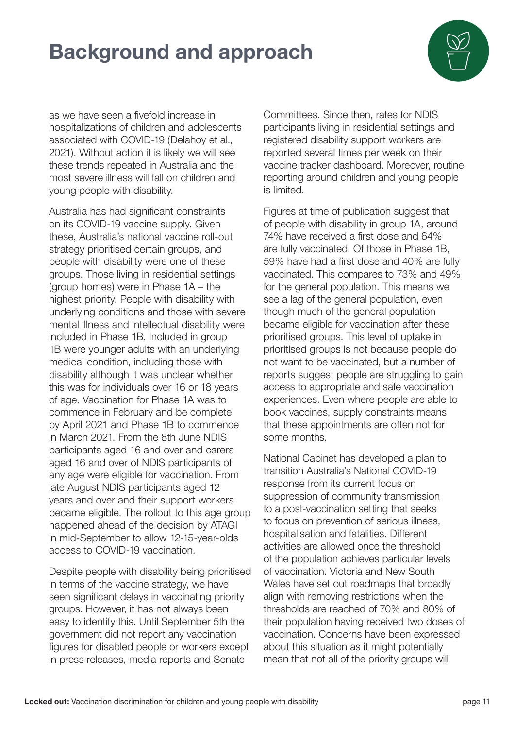

as we have seen a fivefold increase in hospitalizations of children and adolescents associated with COVID-19 (Delahoy et al., 2021). Without action it is likely we will see these trends repeated in Australia and the most severe illness will fall on children and young people with disability.

Australia has had significant constraints on its COVID-19 vaccine supply. Given these, Australia's national vaccine roll-out strategy prioritised certain groups, and people with disability were one of these groups. Those living in residential settings (group homes) were in Phase 1A – the highest priority. People with disability with underlying conditions and those with severe mental illness and intellectual disability were included in Phase 1B. Included in group 1B were younger adults with an underlying medical condition, including those with disability although it was unclear whether this was for individuals over 16 or 18 years of age. Vaccination for Phase 1A was to commence in February and be complete by April 2021 and Phase 1B to commence in March 2021. From the 8th June NDIS participants aged 16 and over and carers aged 16 and over of NDIS participants of any age were eligible for vaccination. From late August NDIS participants aged 12 years and over and their support workers became eligible. The rollout to this age group happened ahead of the decision by ATAGI in mid-September to allow 12-15-year-olds access to COVID-19 vaccination.

Despite people with disability being prioritised in terms of the vaccine strategy, we have seen significant delays in vaccinating priority groups. However, it has not always been easy to identify this. Until September 5th the government did not report any vaccination figures for disabled people or workers except in press releases, media reports and Senate

Committees. Since then, rates for NDIS participants living in residential settings and registered disability support workers are reported several times per week on their vaccine tracker dashboard. Moreover, routine reporting around children and young people is limited.

Figures at time of publication suggest that of people with disability in group 1A, around 74% have received a first dose and 64% are fully vaccinated. Of those in Phase 1B, 59% have had a first dose and 40% are fully vaccinated. This compares to 73% and 49% for the general population. This means we see a lag of the general population, even though much of the general population became eligible for vaccination after these prioritised groups. This level of uptake in prioritised groups is not because people do not want to be vaccinated, but a number of reports suggest people are struggling to gain access to appropriate and safe vaccination experiences. Even where people are able to book vaccines, supply constraints means that these appointments are often not for some months.

National Cabinet has developed a plan to transition Australia's National COVID-19 response from its current focus on suppression of community transmission to a post-vaccination setting that seeks to focus on prevention of serious illness, hospitalisation and fatalities. Different activities are allowed once the threshold of the population achieves particular levels of vaccination. Victoria and New South Wales have set out roadmaps that broadly align with removing restrictions when the thresholds are reached of 70% and 80% of their population having received two doses of vaccination. Concerns have been expressed about this situation as it might potentially mean that not all of the priority groups will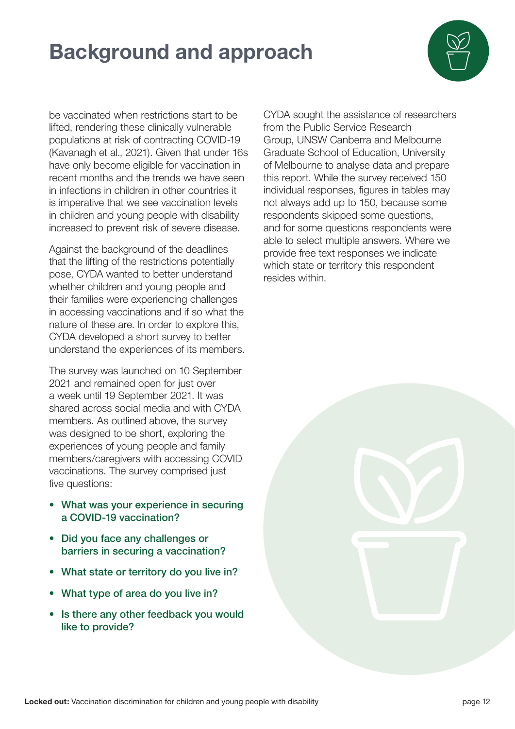

be vaccinated when restrictions start to be lifted, rendering these clinically vulnerable populations at risk of contracting COVID-19 (Kavanagh et al., 2021). Given that under 16s have only become eligible for vaccination in recent months and the trends we have seen in infections in children in other countries it is imperative that we see vaccination levels in children and young people with disability increased to prevent risk of severe disease.

Against the background of the deadlines that the lifting of the restrictions potentially pose, CYDA wanted to better understand whether children and young people and their families were experiencing challenges in accessing vaccinations and if so what the nature of these are. In order to explore this, CYDA developed a short survey to better understand the experiences of its members.

The survey was launched on 10 September 2021 and remained open for just over a week until 19 September 2021. It was shared across social media and with CYDA members. As outlined above, the survey was designed to be short, exploring the experiences of young people and family members/caregivers with accessing COVID vaccinations. The survey comprised just five questions:

- What was your experience in securing a COVID-19 vaccination?
- Did you face any challenges or barriers in securing a vaccination?
- What state or territory do you live in?
- What type of area do you live in?
- Is there any other feedback you would like to provide?

CYDA sought the assistance of researchers from the Public Service Research Group, UNSW Canberra and Melbourne Graduate School of Education, University of Melbourne to analyse data and prepare this report. While the survey received 150 individual responses, figures in tables may not always add up to 150, because some respondents skipped some questions, and for some questions respondents were able to select multiple answers. Where we provide free text responses we indicate which state or territory this respondent resides within.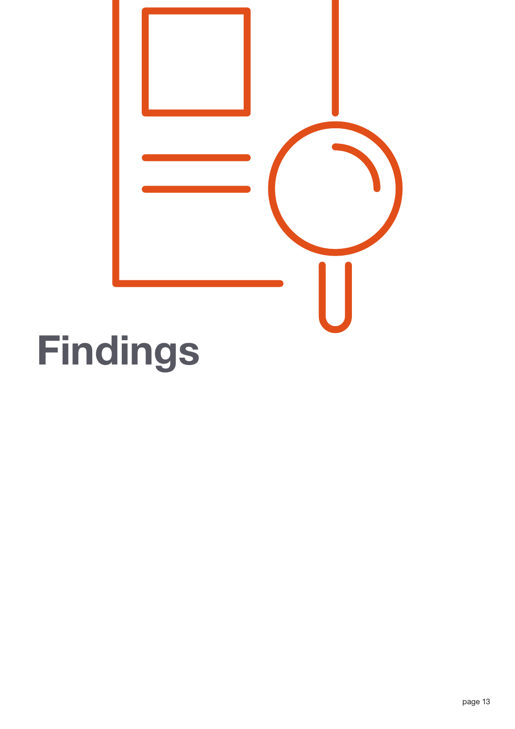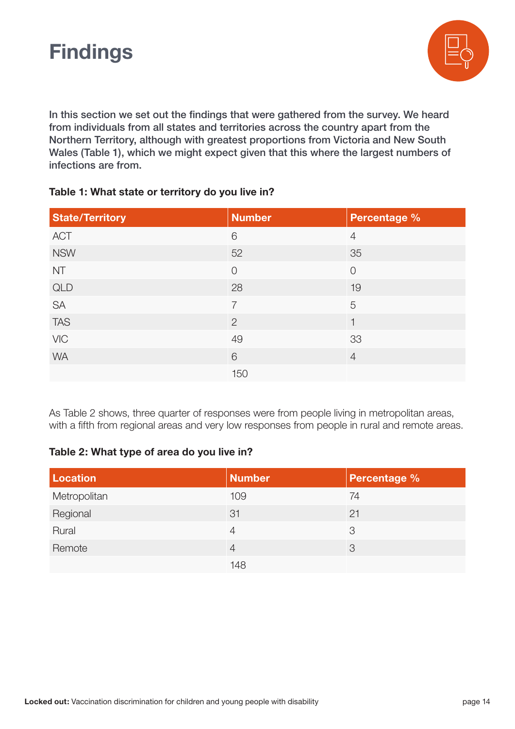

In this section we set out the findings that were gathered from the survey. We heard from individuals from all states and territories across the country apart from the Northern Territory, although with greatest proportions from Victoria and New South Wales (Table 1), which we might expect given that this where the largest numbers of infections are from.

#### **Table 1: What state or territory do you live in?**

| <b>State/Territory</b> | <b>Number</b>  | Percentage <sup>%</sup> |
|------------------------|----------------|-------------------------|
| ACT                    | 6              | $\overline{4}$          |
| <b>NSW</b>             | 52             | 35                      |
| <b>NT</b>              | $\overline{0}$ | $\overline{0}$          |
| QLD                    | 28             | 19                      |
| SA                     | 7              | 5                       |
| <b>TAS</b>             | $\overline{2}$ | 1                       |
| VIC                    | 49             | 33                      |
| <b>WA</b>              | 6              | $\overline{4}$          |
|                        | 150            |                         |

As Table 2 shows, three quarter of responses were from people living in metropolitan areas, with a fifth from regional areas and very low responses from people in rural and remote areas.

#### **Table 2: What type of area do you live in?**

| <b>Location</b> | <b>Number</b>  | <b>Percentage %</b> |
|-----------------|----------------|---------------------|
| Metropolitan    | 109            | 74                  |
| Regional        | 31             | 21                  |
| Rural           | $\overline{4}$ | 3                   |
| Remote          | $\overline{A}$ | 3                   |
|                 | 148            |                     |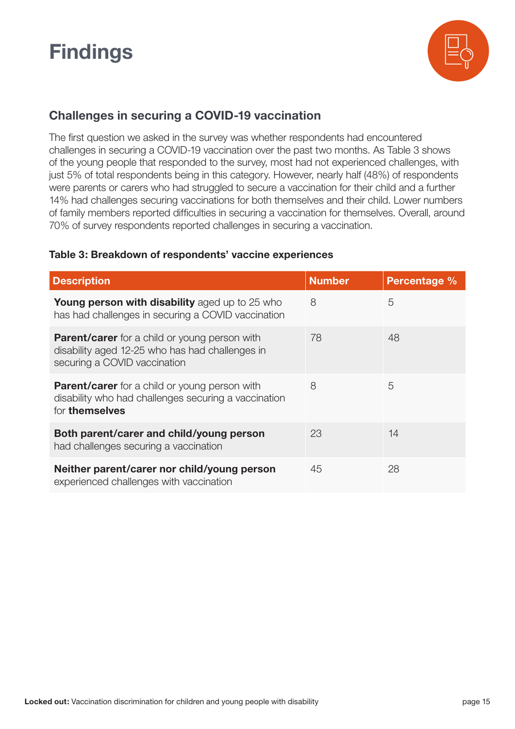

#### **Challenges in securing a COVID-19 vaccination**

The first question we asked in the survey was whether respondents had encountered challenges in securing a COVID-19 vaccination over the past two months. As Table 3 shows of the young people that responded to the survey, most had not experienced challenges, with just 5% of total respondents being in this category. However, nearly half (48%) of respondents were parents or carers who had struggled to secure a vaccination for their child and a further 14% had challenges securing vaccinations for both themselves and their child. Lower numbers of family members reported difficulties in securing a vaccination for themselves. Overall, around 70% of survey respondents reported challenges in securing a vaccination.

#### **Table 3: Breakdown of respondents' vaccine experiences**

| <b>Description</b>                                                                                                                      | <b>Number</b> | Percentage % |
|-----------------------------------------------------------------------------------------------------------------------------------------|---------------|--------------|
| <b>Young person with disability</b> aged up to 25 who<br>has had challenges in securing a COVID vaccination                             | 8             | 5            |
| <b>Parent/carer</b> for a child or young person with<br>disability aged 12-25 who has had challenges in<br>securing a COVID vaccination | 78            | 48           |
| <b>Parent/carer</b> for a child or young person with<br>disability who had challenges securing a vaccination<br>for themselves          | 8             | 5            |
| Both parent/carer and child/young person<br>had challenges securing a vaccination                                                       | 23            | 14           |
| Neither parent/carer nor child/young person<br>experienced challenges with vaccination                                                  | 45            | 28           |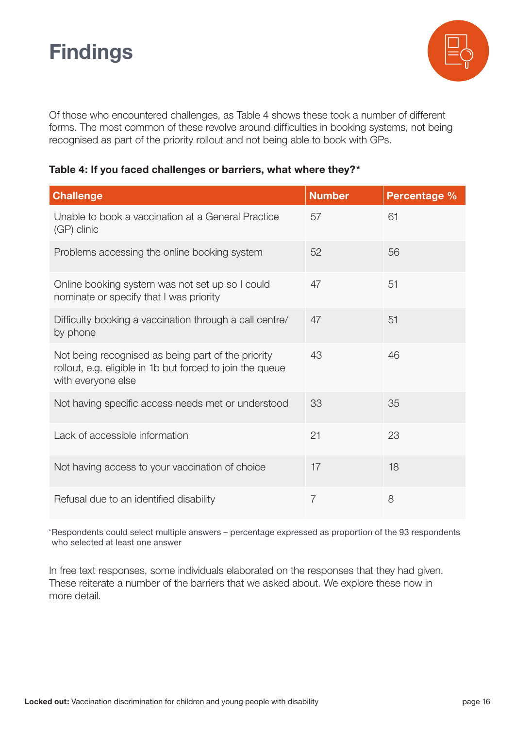

Of those who encountered challenges, as Table 4 shows these took a number of different forms. The most common of these revolve around difficulties in booking systems, not being recognised as part of the priority rollout and not being able to book with GPs.

#### **Table 4: If you faced challenges or barriers, what where they?\***

| <b>Challenge</b>                                                                                                                      | <b>Number</b>  | <b>Percentage %</b> |
|---------------------------------------------------------------------------------------------------------------------------------------|----------------|---------------------|
| Unable to book a vaccination at a General Practice<br>(GP) clinic                                                                     | 57             | 61                  |
| Problems accessing the online booking system                                                                                          | 52             | 56                  |
| Online booking system was not set up so I could<br>nominate or specify that I was priority                                            | 47             | 51                  |
| Difficulty booking a vaccination through a call centre/<br>by phone                                                                   | 47             | 51                  |
| Not being recognised as being part of the priority<br>rollout, e.g. eligible in 1b but forced to join the queue<br>with everyone else | 43             | 46                  |
| Not having specific access needs met or understood                                                                                    | 33             | 35                  |
| Lack of accessible information                                                                                                        | 21             | 23                  |
| Not having access to your vaccination of choice                                                                                       | 17             | 18                  |
| Refusal due to an identified disability                                                                                               | $\overline{7}$ | 8                   |

\*Respondents could select multiple answers – percentage expressed as proportion of the 93 respondents who selected at least one answer

In free text responses, some individuals elaborated on the responses that they had given. These reiterate a number of the barriers that we asked about. We explore these now in more detail.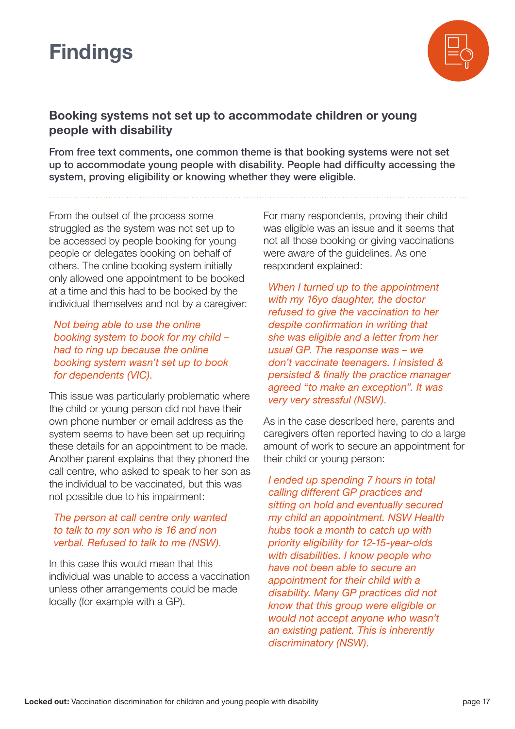

#### **Booking systems not set up to accommodate children or young people with disability**

From free text comments, one common theme is that booking systems were not set up to accommodate young people with disability. People had difficulty accessing the system, proving eligibility or knowing whether they were eligible.

From the outset of the process some struggled as the system was not set up to be accessed by people booking for young people or delegates booking on behalf of others. The online booking system initially only allowed one appointment to be booked at a time and this had to be booked by the individual themselves and not by a caregiver:

*Not being able to use the online booking system to book for my child – had to ring up because the online booking system wasn't set up to book for dependents (VIC).*

This issue was particularly problematic where the child or young person did not have their own phone number or email address as the system seems to have been set up requiring these details for an appointment to be made. Another parent explains that they phoned the call centre, who asked to speak to her son as the individual to be vaccinated, but this was not possible due to his impairment:

#### *The person at call centre only wanted to talk to my son who is 16 and non verbal. Refused to talk to me (NSW).*

In this case this would mean that this individual was unable to access a vaccination unless other arrangements could be made locally (for example with a GP).

For many respondents, proving their child was eligible was an issue and it seems that not all those booking or giving vaccinations were aware of the guidelines. As one respondent explained:

*When I turned up to the appointment with my 16yo daughter, the doctor refused to give the vaccination to her despite confirmation in writing that she was eligible and a letter from her usual GP. The response was – we don't vaccinate teenagers. I insisted & persisted & finally the practice manager agreed "to make an exception". It was very very stressful (NSW).*

As in the case described here, parents and caregivers often reported having to do a large amount of work to secure an appointment for their child or young person:

*I ended up spending 7 hours in total calling different GP practices and sitting on hold and eventually secured my child an appointment. NSW Health hubs took a month to catch up with priority eligibility for 12-15-year-olds with disabilities. I know people who have not been able to secure an appointment for their child with a disability. Many GP practices did not know that this group were eligible or would not accept anyone who wasn't an existing patient. This is inherently discriminatory (NSW).*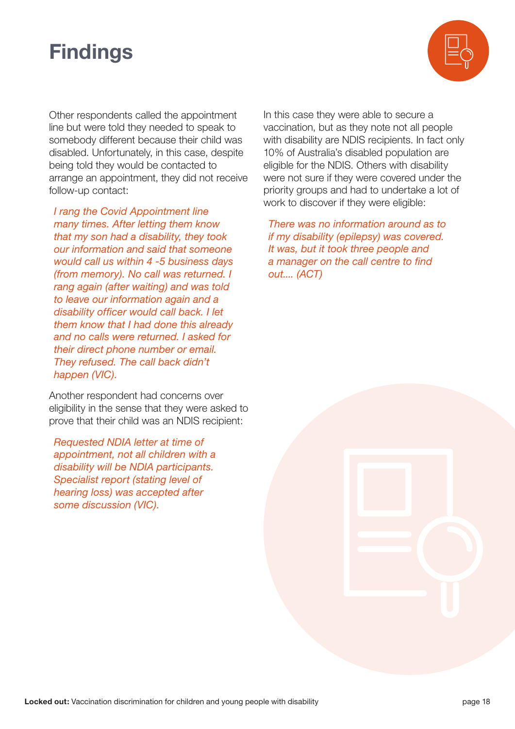

Other respondents called the appointment line but were told they needed to speak to somebody different because their child was disabled. Unfortunately, in this case, despite being told they would be contacted to arrange an appointment, they did not receive follow-up contact:

*I rang the Covid Appointment line many times. After letting them know that my son had a disability, they took our information and said that someone would call us within 4 -5 business days (from memory). No call was returned. I rang again (after waiting) and was told to leave our information again and a disability officer would call back. I let them know that I had done this already and no calls were returned. I asked for their direct phone number or email. They refused. The call back didn't happen (VIC).*

Another respondent had concerns over eligibility in the sense that they were asked to prove that their child was an NDIS recipient:

*Requested NDIA letter at time of appointment, not all children with a disability will be NDIA participants. Specialist report (stating level of hearing loss) was accepted after some discussion (VIC).*

In this case they were able to secure a vaccination, but as they note not all people with disability are NDIS recipients. In fact only 10% of Australia's disabled population are eligible for the NDIS. Others with disability were not sure if they were covered under the priority groups and had to undertake a lot of work to discover if they were eligible:

*There was no information around as to if my disability (epilepsy) was covered. It was, but it took three people and a manager on the call centre to find out.... (ACT)*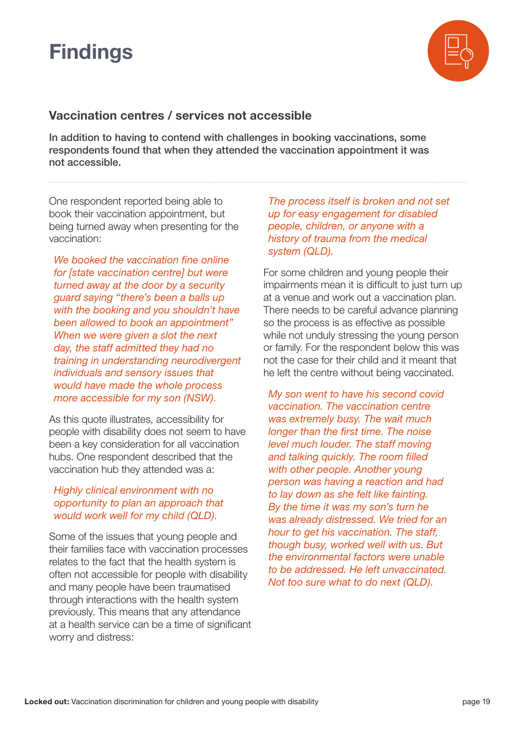

#### **Vaccination centres / services not accessible**

In addition to having to contend with challenges in booking vaccinations, some respondents found that when they attended the vaccination appointment it was not accessible.

One respondent reported being able to book their vaccination appointment, but being turned away when presenting for the vaccination:

*We booked the vaccination fine online for [state vaccination centre] but were turned away at the door by a security guard saying "there's been a balls up with the booking and you shouldn't have been allowed to book an appointment" When we were given a slot the next day, the staff admitted they had no training in understanding neurodivergent individuals and sensory issues that would have made the whole process more accessible for my son (NSW).*

As this quote illustrates, accessibility for people with disability does not seem to have been a key consideration for all vaccination hubs. One respondent described that the vaccination hub they attended was a:

#### *Highly clinical environment with no opportunity to plan an approach that would work well for my child (QLD).*

Some of the issues that young people and their families face with vaccination processes relates to the fact that the health system is often not accessible for people with disability and many people have been traumatised through interactions with the health system previously. This means that any attendance at a health service can be a time of significant worry and distress:

*The process itself is broken and not set up for easy engagement for disabled people, children, or anyone with a history of trauma from the medical system (QLD).* 

For some children and young people their impairments mean it is difficult to just turn up at a venue and work out a vaccination plan. There needs to be careful advance planning so the process is as effective as possible while not unduly stressing the young person or family. For the respondent below this was not the case for their child and it meant that he left the centre without being vaccinated.

*My son went to have his second covid vaccination. The vaccination centre was extremely busy. The wait much longer than the first time. The noise level much louder. The staff moving and talking quickly. The room filled with other people. Another young person was having a reaction and had to lay down as she felt like fainting. By the time it was my son's turn he was already distressed. We tried for an hour to get his vaccination. The staff, though busy, worked well with us. But the environmental factors were unable to be addressed. He left unvaccinated. Not too sure what to do next (QLD).*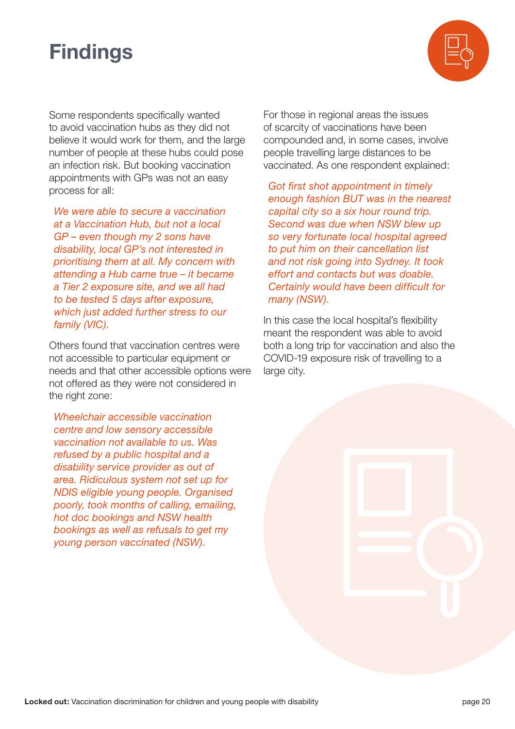

Some respondents specifically wanted to avoid vaccination hubs as they did not believe it would work for them, and the large number of people at these hubs could pose an infection risk. But booking vaccination appointments with GPs was not an easy process for all:

*We were able to secure a vaccination at a Vaccination Hub, but not a local GP – even though my 2 sons have disability, local GP's not interested in prioritising them at all. My concern with attending a Hub came true – it became a Tier 2 exposure site, and we all had to be tested 5 days after exposure, which just added further stress to our family (VIC).*

Others found that vaccination centres were not accessible to particular equipment or needs and that other accessible options were not offered as they were not considered in the right zone:

*Wheelchair accessible vaccination centre and low sensory accessible vaccination not available to us. Was refused by a public hospital and a disability service provider as out of area. Ridiculous system not set up for NDIS eligible young people. Organised poorly, took months of calling, emailing, hot doc bookings and NSW health bookings as well as refusals to get my young person vaccinated (NSW).*

For those in regional areas the issues of scarcity of vaccinations have been compounded and, in some cases, involve people travelling large distances to be vaccinated. As one respondent explained:

*Got first shot appointment in timely enough fashion BUT was in the nearest capital city so a six hour round trip. Second was due when NSW blew up so very fortunate local hospital agreed to put him on their cancellation list and not risk going into Sydney. It took effort and contacts but was doable. Certainly would have been difficult for many (NSW).* 

In this case the local hospital's flexibility meant the respondent was able to avoid both a long trip for vaccination and also the COVID-19 exposure risk of travelling to a large city.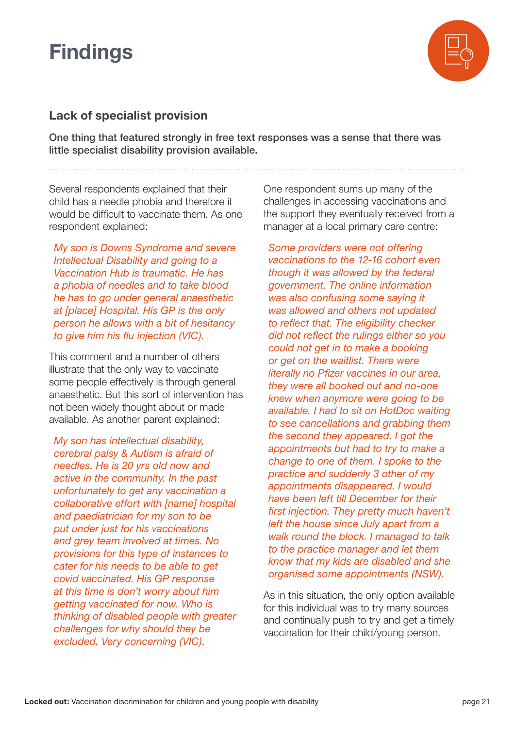

#### **Lack of specialist provision**

One thing that featured strongly in free text responses was a sense that there was little specialist disability provision available.

Several respondents explained that their child has a needle phobia and therefore it would be difficult to vaccinate them. As one respondent explained:

*My son is Downs Syndrome and severe Intellectual Disability and going to a Vaccination Hub is traumatic. He has a phobia of needles and to take blood he has to go under general anaesthetic at [place] Hospital. His GP is the only person he allows with a bit of hesitancy to give him his flu injection (VIC).*

This comment and a number of others illustrate that the only way to vaccinate some people effectively is through general anaesthetic. But this sort of intervention has not been widely thought about or made available. As another parent explained:

*My son has intellectual disability, cerebral palsy & Autism is afraid of needles. He is 20 yrs old now and active in the community. In the past unfortunately to get any vaccination a collaborative effort with [name] hospital and paediatrician for my son to be put under just for his vaccinations and grey team involved at times. No provisions for this type of instances to cater for his needs to be able to get covid vaccinated. His GP response at this time is don't worry about him getting vaccinated for now. Who is thinking of disabled people with greater challenges for why should they be excluded. Very concerning (VIC).*

One respondent sums up many of the challenges in accessing vaccinations and the support they eventually received from a manager at a local primary care centre:

*Some providers were not offering vaccinations to the 12-16 cohort even though it was allowed by the federal government. The online information was also confusing some saying it was allowed and others not updated to reflect that. The eligibility checker did not reflect the rulings either so you could not get in to make a booking or get on the waitlist. There were literally no Pfizer vaccines in our area, they were all booked out and no-one knew when anymore were going to be available. I had to sit on HotDoc waiting to see cancellations and grabbing them the second they appeared. I got the appointments but had to try to make a change to one of them. I spoke to the practice and suddenly 3 other of my appointments disappeared. I would have been left till December for their first injection. They pretty much haven't left the house since July apart from a walk round the block. I managed to talk to the practice manager and let them know that my kids are disabled and she organised some appointments (NSW).*

As in this situation, the only option available for this individual was to try many sources and continually push to try and get a timely vaccination for their child/young person.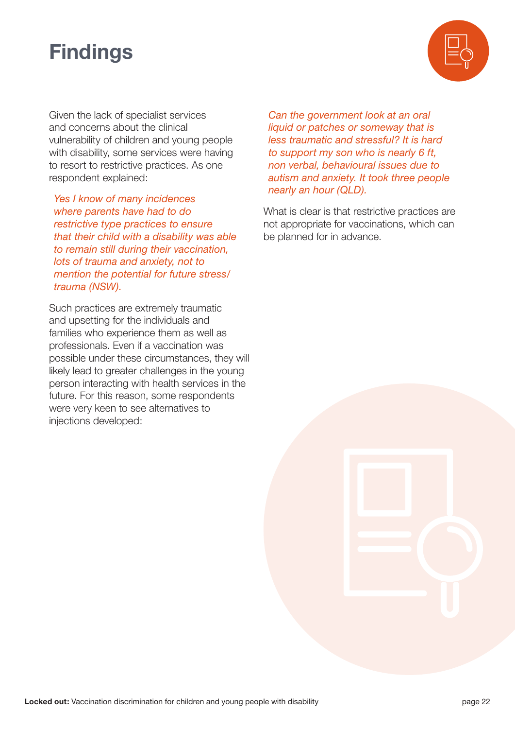

Given the lack of specialist services and concerns about the clinical vulnerability of children and young people with disability, some services were having to resort to restrictive practices. As one respondent explained:

*Yes I know of many incidences where parents have had to do restrictive type practices to ensure that their child with a disability was able to remain still during their vaccination, lots of trauma and anxiety, not to mention the potential for future stress/ trauma (NSW).*

Such practices are extremely traumatic and upsetting for the individuals and families who experience them as well as professionals. Even if a vaccination was possible under these circumstances, they will likely lead to greater challenges in the young person interacting with health services in the future. For this reason, some respondents were very keen to see alternatives to injections developed:

*Can the government look at an oral liquid or patches or someway that is less traumatic and stressful? It is hard to support my son who is nearly 6 ft, non verbal, behavioural issues due to autism and anxiety. It took three people nearly an hour (QLD).*

What is clear is that restrictive practices are not appropriate for vaccinations, which can be planned for in advance.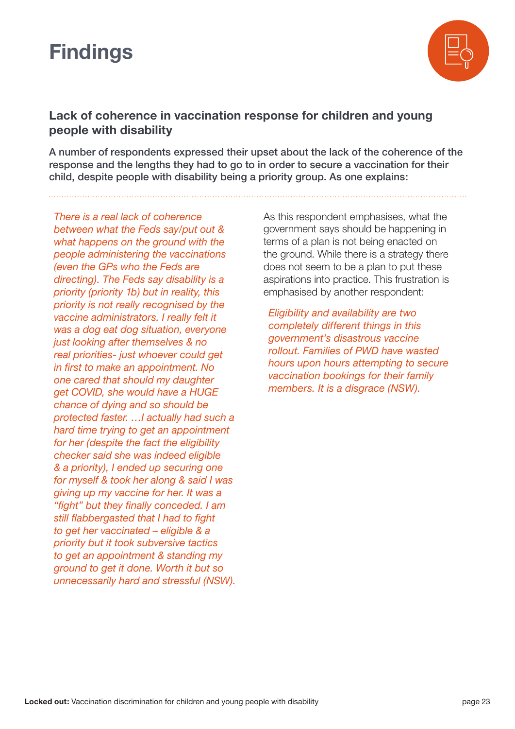

#### **Lack of coherence in vaccination response for children and young people with disability**

A number of respondents expressed their upset about the lack of the coherence of the response and the lengths they had to go to in order to secure a vaccination for their child, despite people with disability being a priority group. As one explains:

*There is a real lack of coherence between what the Feds say/put out & what happens on the ground with the people administering the vaccinations (even the GPs who the Feds are directing). The Feds say disability is a priority (priority 1b) but in reality, this priority is not really recognised by the vaccine administrators. I really felt it was a dog eat dog situation, everyone just looking after themselves & no real priorities- just whoever could get in first to make an appointment. No one cared that should my daughter get COVID, she would have a HUGE chance of dying and so should be protected faster. …I actually had such a hard time trying to get an appointment for her (despite the fact the eligibility checker said she was indeed eligible & a priority), I ended up securing one for myself & took her along & said I was giving up my vaccine for her. It was a "fight" but they finally conceded. I am still flabbergasted that I had to fight to get her vaccinated – eligible & a priority but it took subversive tactics to get an appointment & standing my ground to get it done. Worth it but so unnecessarily hard and stressful (NSW).* As this respondent emphasises, what the government says should be happening in terms of a plan is not being enacted on the ground. While there is a strategy there does not seem to be a plan to put these aspirations into practice. This frustration is emphasised by another respondent:

*Eligibility and availability are two completely different things in this government's disastrous vaccine rollout. Families of PWD have wasted hours upon hours attempting to secure vaccination bookings for their family members. It is a disgrace (NSW).*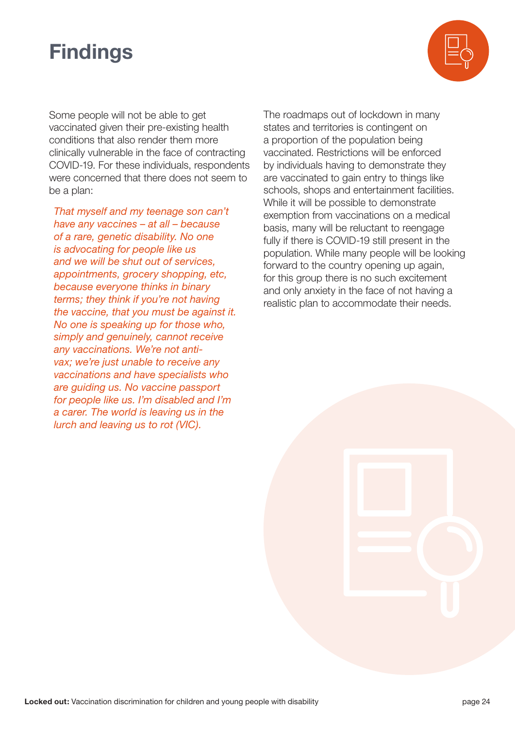

Some people will not be able to get vaccinated given their pre-existing health conditions that also render them more clinically vulnerable in the face of contracting COVID-19. For these individuals, respondents were concerned that there does not seem to be a plan:

*That myself and my teenage son can't have any vaccines – at all – because of a rare, genetic disability. No one is advocating for people like us and we will be shut out of services, appointments, grocery shopping, etc, because everyone thinks in binary terms; they think if you're not having the vaccine, that you must be against it. No one is speaking up for those who, simply and genuinely, cannot receive any vaccinations. We're not antivax; we're just unable to receive any vaccinations and have specialists who are guiding us. No vaccine passport for people like us. I'm disabled and I'm a carer. The world is leaving us in the lurch and leaving us to rot (VIC).*

The roadmaps out of lockdown in many states and territories is contingent on a proportion of the population being vaccinated. Restrictions will be enforced by individuals having to demonstrate they are vaccinated to gain entry to things like schools, shops and entertainment facilities. While it will be possible to demonstrate exemption from vaccinations on a medical basis, many will be reluctant to reengage fully if there is COVID-19 still present in the population. While many people will be looking forward to the country opening up again, for this group there is no such excitement and only anxiety in the face of not having a realistic plan to accommodate their needs.

**Locked out:** Vaccination discrimination for children and young people with disability **page 24** page 24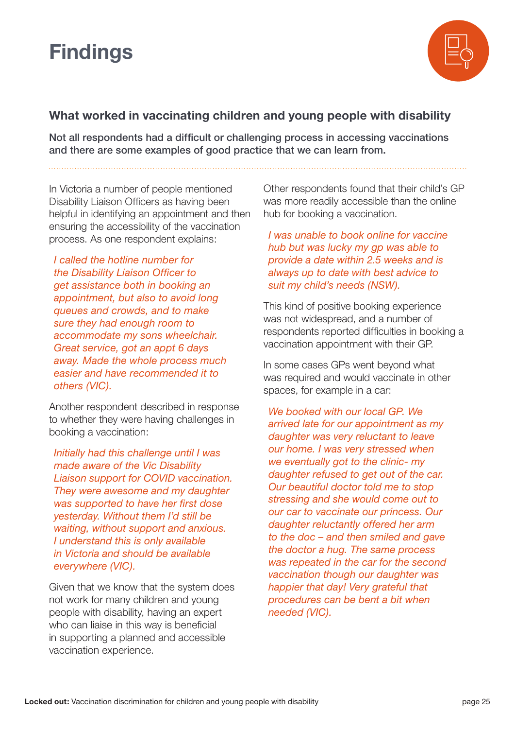

#### **What worked in vaccinating children and young people with disability**

Not all respondents had a difficult or challenging process in accessing vaccinations and there are some examples of good practice that we can learn from.

In Victoria a number of people mentioned Disability Liaison Officers as having been helpful in identifying an appointment and then ensuring the accessibility of the vaccination process. As one respondent explains:

*I called the hotline number for the Disability Liaison Officer to get assistance both in booking an appointment, but also to avoid long queues and crowds, and to make sure they had enough room to accommodate my sons wheelchair. Great service, got an appt 6 days away. Made the whole process much easier and have recommended it to others (VIC).*

Another respondent described in response to whether they were having challenges in booking a vaccination:

*Initially had this challenge until I was made aware of the Vic Disability Liaison support for COVID vaccination. They were awesome and my daughter was supported to have her first dose yesterday. Without them I'd still be waiting, without support and anxious. I understand this is only available in Victoria and should be available everywhere (VIC).*

Given that we know that the system does not work for many children and young people with disability, having an expert who can liaise in this way is beneficial in supporting a planned and accessible vaccination experience.

Other respondents found that their child's GP was more readily accessible than the online hub for booking a vaccination.

*I was unable to book online for vaccine hub but was lucky my gp was able to provide a date within 2.5 weeks and is always up to date with best advice to suit my child's needs (NSW).*

This kind of positive booking experience was not widespread, and a number of respondents reported difficulties in booking a vaccination appointment with their GP.

In some cases GPs went beyond what was required and would vaccinate in other spaces, for example in a car:

*We booked with our local GP. We arrived late for our appointment as my daughter was very reluctant to leave our home. I was very stressed when we eventually got to the clinic- my daughter refused to get out of the car. Our beautiful doctor told me to stop stressing and she would come out to our car to vaccinate our princess. Our daughter reluctantly offered her arm to the doc – and then smiled and gave the doctor a hug. The same process was repeated in the car for the second vaccination though our daughter was happier that day! Very grateful that procedures can be bent a bit when needed (VIC).*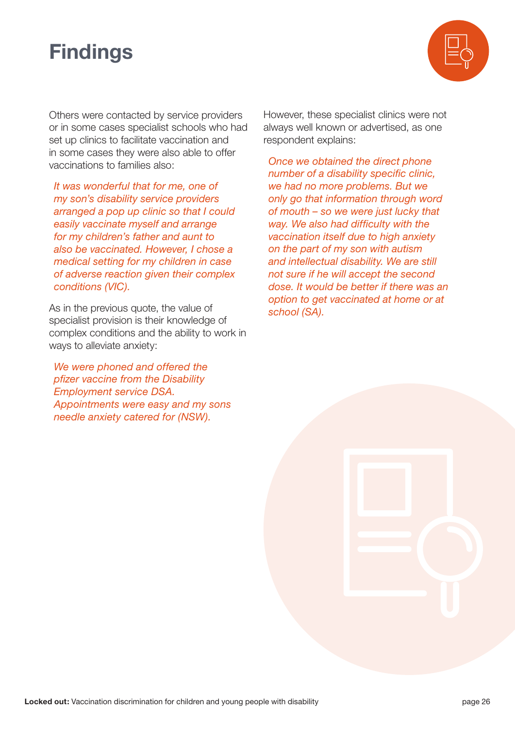

Others were contacted by service providers or in some cases specialist schools who had set up clinics to facilitate vaccination and in some cases they were also able to offer vaccinations to families also:

*It was wonderful that for me, one of my son's disability service providers arranged a pop up clinic so that I could easily vaccinate myself and arrange for my children's father and aunt to also be vaccinated. However, I chose a medical setting for my children in case of adverse reaction given their complex conditions (VIC).*

As in the previous quote, the value of specialist provision is their knowledge of complex conditions and the ability to work in ways to alleviate anxiety:

*We were phoned and offered the pfizer vaccine from the Disability Employment service DSA. Appointments were easy and my sons needle anxiety catered for (NSW).* 

However, these specialist clinics were not always well known or advertised, as one respondent explains:

*Once we obtained the direct phone number of a disability specific clinic, we had no more problems. But we only go that information through word of mouth – so we were just lucky that way. We also had difficulty with the vaccination itself due to high anxiety on the part of my son with autism and intellectual disability. We are still not sure if he will accept the second dose. It would be better if there was an option to get vaccinated at home or at school (SA).*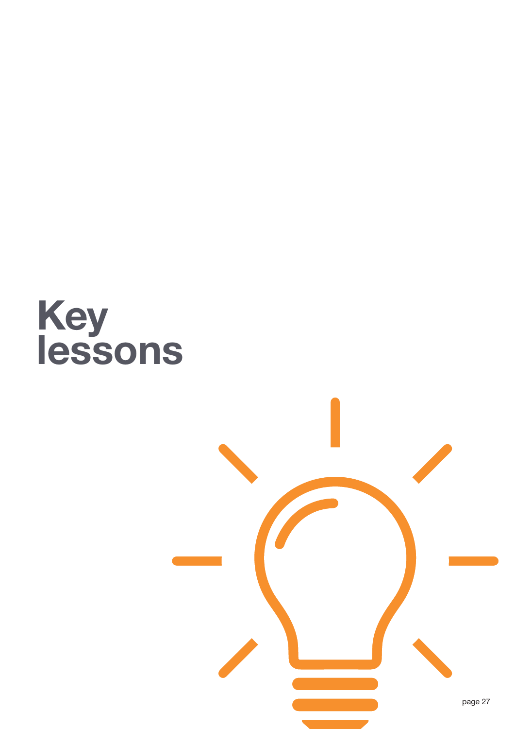

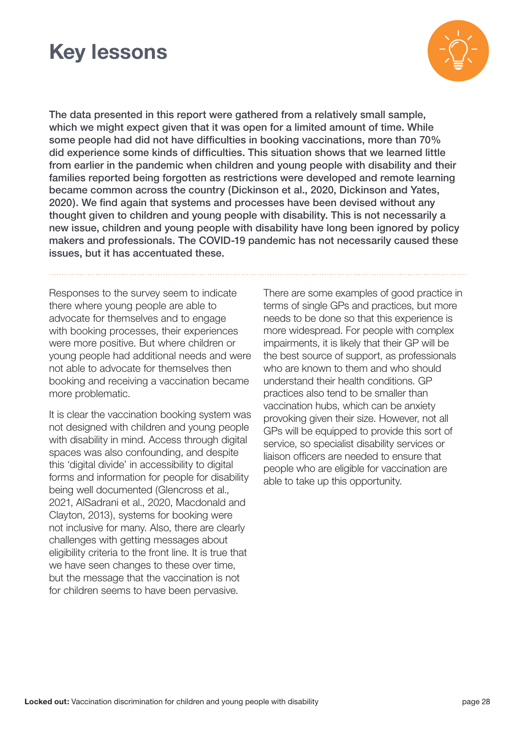### **Key lessons**



The data presented in this report were gathered from a relatively small sample, which we might expect given that it was open for a limited amount of time. While some people had did not have difficulties in booking vaccinations, more than 70% did experience some kinds of difficulties. This situation shows that we learned little from earlier in the pandemic when children and young people with disability and their families reported being forgotten as restrictions were developed and remote learning became common across the country (Dickinson et al., 2020, Dickinson and Yates, 2020). We find again that systems and processes have been devised without any thought given to children and young people with disability. This is not necessarily a new issue, children and young people with disability have long been ignored by policy makers and professionals. The COVID-19 pandemic has not necessarily caused these issues, but it has accentuated these.

Responses to the survey seem to indicate there where young people are able to advocate for themselves and to engage with booking processes, their experiences were more positive. But where children or young people had additional needs and were not able to advocate for themselves then booking and receiving a vaccination became more problematic.

It is clear the vaccination booking system was not designed with children and young people with disability in mind. Access through digital spaces was also confounding, and despite this 'digital divide' in accessibility to digital forms and information for people for disability being well documented (Glencross et al., 2021, AlSadrani et al., 2020, Macdonald and Clayton, 2013), systems for booking were not inclusive for many. Also, there are clearly challenges with getting messages about eligibility criteria to the front line. It is true that we have seen changes to these over time, but the message that the vaccination is not for children seems to have been pervasive.

There are some examples of good practice in terms of single GPs and practices, but more needs to be done so that this experience is more widespread. For people with complex impairments, it is likely that their GP will be the best source of support, as professionals who are known to them and who should understand their health conditions. GP practices also tend to be smaller than vaccination hubs, which can be anxiety provoking given their size. However, not all GPs will be equipped to provide this sort of service, so specialist disability services or liaison officers are needed to ensure that people who are eligible for vaccination are able to take up this opportunity.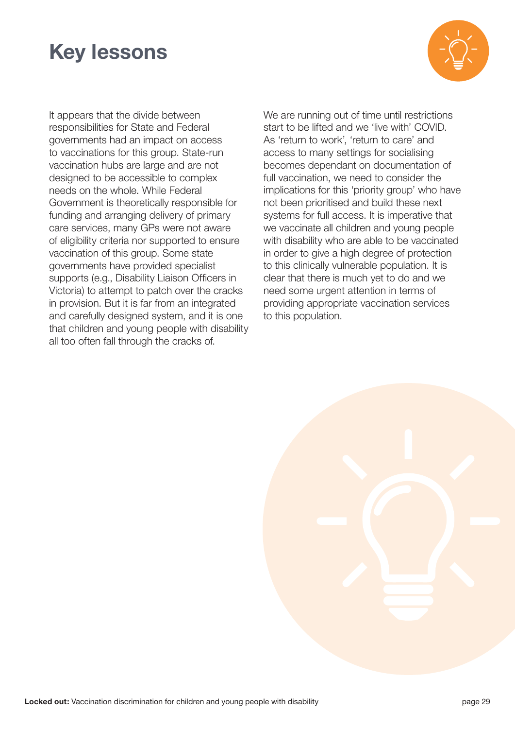### **Key lessons**



It appears that the divide between responsibilities for State and Federal governments had an impact on access to vaccinations for this group. State-run vaccination hubs are large and are not designed to be accessible to complex needs on the whole. While Federal Government is theoretically responsible for funding and arranging delivery of primary care services, many GPs were not aware of eligibility criteria nor supported to ensure vaccination of this group. Some state governments have provided specialist supports (e.g., Disability Liaison Officers in Victoria) to attempt to patch over the cracks in provision. But it is far from an integrated and carefully designed system, and it is one that children and young people with disability all too often fall through the cracks of.

We are running out of time until restrictions start to be lifted and we 'live with' COVID. As 'return to work', 'return to care' and access to many settings for socialising becomes dependant on documentation of full vaccination, we need to consider the implications for this 'priority group' who have not been prioritised and build these next systems for full access. It is imperative that we vaccinate all children and young people with disability who are able to be vaccinated in order to give a high degree of protection to this clinically vulnerable population. It is clear that there is much yet to do and we need some urgent attention in terms of providing appropriate vaccination services to this population.

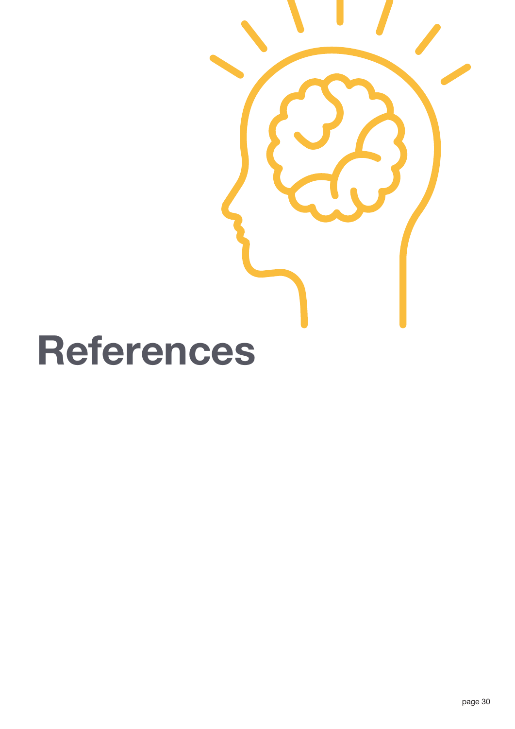# **References**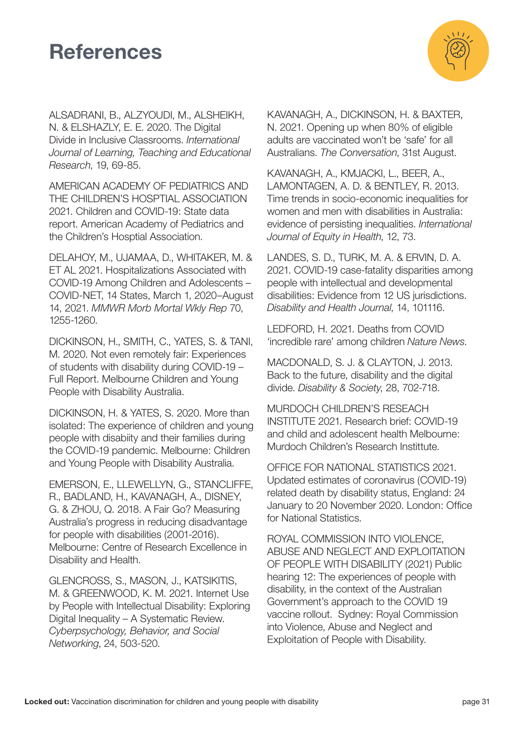### **References**



ALSADRANI, B., ALZYOUDI, M., ALSHEIKH, N. & ELSHAZLY, E. E. 2020. The Digital Divide in Inclusive Classrooms. *International Journal of Learning, Teaching and Educational Research*, 19, 69-85.

AMERICAN ACADEMY OF PEDIATRICS AND THE CHILDREN'S HOSPTIAL ASSOCIATION 2021. Children and COVID-19: State data report. American Academy of Pediatrics and the Children's Hosptial Association.

DELAHOY, M., UJAMAA, D., WHITAKER, M. & ET AL 2021. Hospitalizations Associated with COVID-19 Among Children and Adolescents – COVID-NET, 14 States, March 1, 2020–August 14, 2021. *MMWR Morb Mortal Wkly Rep* 70, 1255-1260.

DICKINSON, H., SMITH, C., YATES, S. & TANI, M. 2020. Not even remotely fair: Experiences of students with disability during COVID-19 – Full Report. Melbourne Children and Young People with Disability Australia.

DICKINSON, H. & YATES, S. 2020. More than isolated: The experience of children and young people with disabiity and their families during the COVID-19 pandemic. Melbourne: Children and Young People with Disability Australia.

EMERSON, E., LLEWELLYN, G., STANCLIFFE, R., BADLAND, H., KAVANAGH, A., DISNEY, G. & ZHOU, Q. 2018. A Fair Go? Measuring Australia's progress in reducing disadvantage for people with disabilities (2001-2016). Melbourne: Centre of Research Excellence in Disability and Health.

GLENCROSS, S., MASON, J., KATSIKITIS, M. & GREENWOOD, K. M. 2021. Internet Use by People with Intellectual Disability: Exploring Digital Inequality – A Systematic Review. *Cyberpsychology, Behavior, and Social Networking*, 24, 503-520.

KAVANAGH, A., DICKINSON, H. & BAXTER, N. 2021. Opening up when 80% of eligible adults are vaccinated won't be 'safe' for all Australians. *The Conversation*, 31st August.

KAVANAGH, A., KMJACKI, L., BEER, A., LAMONTAGEN, A. D. & BENTLEY, R. 2013. Time trends in socio-economic inequalities for women and men with disabilities in Australia: evidence of persisting inequalities. *International Journal of Equity in Health*, 12, 73.

LANDES, S. D., TURK, M. A. & ERVIN, D. A. 2021. COVID-19 case-fatality disparities among people with intellectual and developmental disabilities: Evidence from 12 US jurisdictions. *Disability and Health Journal*, 14, 101116.

LEDFORD, H. 2021. Deaths from COVID 'incredible rare' among children *Nature News*.

MACDONALD, S. J. & CLAYTON, J. 2013. Back to the future, disability and the digital divide. *Disability & Society*, 28, 702-718.

MURDOCH CHILDREN'S RESEACH INSTITUTE 2021. Research brief: COVID-19 and child and adolescent health Melbourne: Murdoch Children's Research Instittute.

OFFICE FOR NATIONAL STATISTICS 2021. Updated estimates of coronavirus (COVID-19) related death by disability status, England: 24 January to 20 November 2020. London: Office for National Statistics.

ROYAL COMMISSION INTO VIOLENCE, ABUSE AND NEGLECT AND EXPLOITATION OF PEOPLE WITH DISABILITY (2021) Public hearing 12: The experiences of people with disability, in the context of the Australian Government's approach to the COVID 19 vaccine rollout. Sydney: Royal Commission into Violence, Abuse and Neglect and Exploitation of People with Disability.